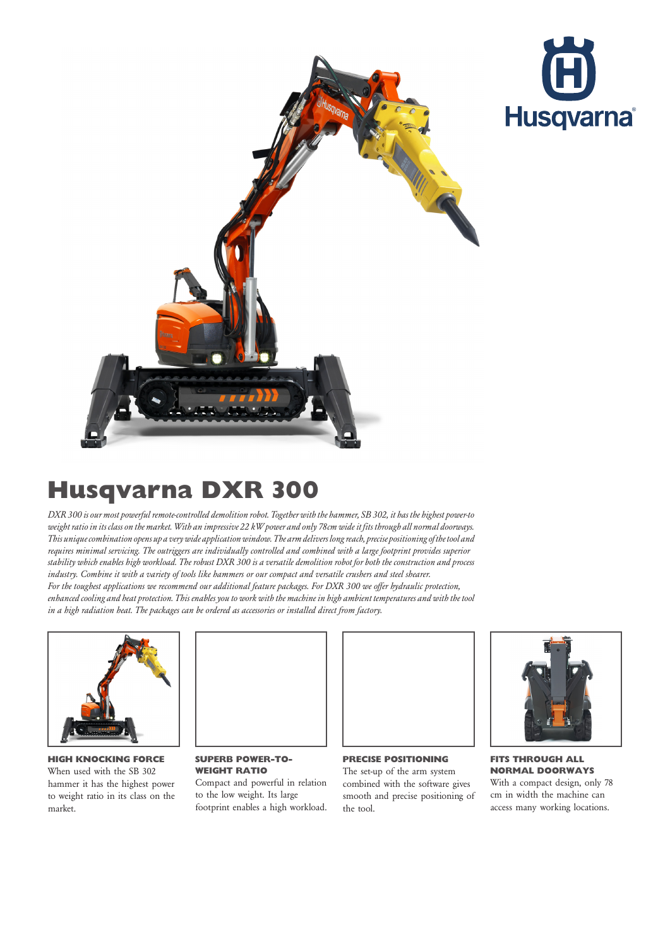



## Husqvarna DXR 300

DXR 300 is our most powerful remote-controlled demolition robot. Together with the hammer, SB 302, it has the highest power-to weight ratio in its class on the market. With an impressive 22 kW power and only 78cm wide it fits through all normal doorways. This unique combination opens up a very wide application window. The arm delivers long reach, precise positioning of the tool and requires minimal servicing. The outriggers are individually controlled and combined with a large footprint provides superior stability which enables high workload. The robust DXR 300 is a versatile demolition robot for both the construction and process industry. Combine it with a variety of tools like hammers or our compact and versatile crushers and steel shearer. For the toughest applications we recommend our additional feature packages. For DXR 300 we offer hydraulic protection, enhanced cooling and heat protection. This enables you to work with the machine in high ambient temperatures and with the tool

in a high radiation heat. The packages can be ordered as accessories or installed direct from factory.



HIGH KNOCKING FORCE When used with the SB 302 hammer it has the highest power to weight ratio in its class on the market.



SUPERB POWER-TO-WEIGHT RATIO Compact and powerful in relation to the low weight. Its large footprint enables a high workload.



The set-up of the arm system combined with the software gives smooth and precise positioning of

the tool.



FITS THROUGH ALL NORMAL DOORWAYS With a compact design, only 78 cm in width the machine can access many working locations.